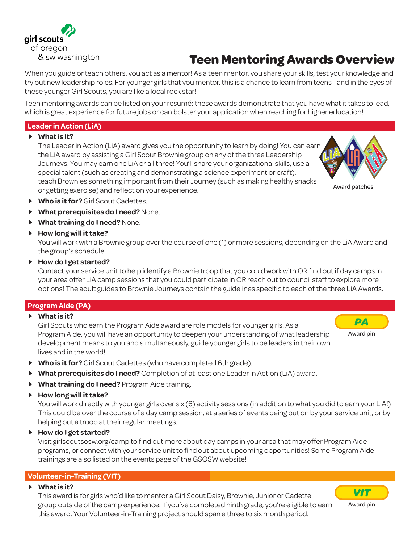

# **Teen Mentoring Awards Overview**

When you guide or teach others, you act as a mentor! As a teen mentor, you share your skills, test your knowledge and try out new leadership roles. For younger girls that you mentor, this is a chance to learn from teens—and in the eyes of these younger Girl Scouts, you are like a local rock star!

Teen mentoring awards can be listed on your resumé; these awards demonstrate that you have what it takes to lead, which is great experience for future jobs or can bolster your application when reaching for higher education!

# **Leader in Action (LiA)**

## • **What is it?**

The Leader in Action (LiA) award gives you the opportunity to learn by doing! You can earn the LiA award by assisting a Girl Scout Brownie group on any of the three Leadership Journeys. You may earn one LiA or all three! You'll share your organizational skills, use a special talent (such as creating and demonstrating a science experiment or craft), teach Brownies something important from their Journey (such as making healthy snacks or getting exercise) and reflect on your experience.



- **Who is it for?** Girl Scout Cadettes.
- **What prerequisites do I need?** None.
- **What training do I need?** None.
- **How long will it take?**

You will work with a Brownie group over the course of one (1) or more sessions, depending on the LiA Award and the group's schedule.

#### • **How do I get started?**

Contact your service unit to help identify a Brownie troop that you could work with OR find out if day camps in your area offer LiA camp sessions that you could participate in OR reach out to council staff to explore more options! The adult guides to Brownie Journeys contain the guidelines specific to each of the three LiA Awards.

## **Program Aide (PA)**

• **What is it?**

Girl Scouts who earn the Program Aide award are role models for younger girls. As a Program Aide, you will have an opportunity to deepen your understanding of what leadership development means to you and simultaneously, guide younger girls to be leaders in their own lives and in the world!

- 
- **Who is it for?** Girl Scout Cadettes (who have completed 6th grade).
- **What prerequisites do I need?** Completion of at least one Leader in Action (LiA) award.
- **What training do I need?** Program Aide training.
- **How long will it take?**

You will work directly with younger girls over six (6) activity sessions (in addition to what you did to earn your LiA!) This could be over the course of a day camp session, at a series of events being put on by your service unit, or by helping out a troop at their regular meetings.

• **How do I get started?**

Visit girlscoutsosw.org/camp to find out more about day camps in your area that may offer Program Aide programs, or connect with your service unit to find out about upcoming opportunities! Some Program Aide trainings are also listed on the events page of the GSOSW website!

# **Volunteer-in-Training (VIT)**

#### • **What is it?**

This award is for girls who'd like to mentor a Girl Scout Daisy, Brownie, Junior or Cadette group outside of the camp experience. If you've completed ninth grade, you're eligible to earn this award. Your Volunteer-in-Training project should span a three to six month period.



*PA*